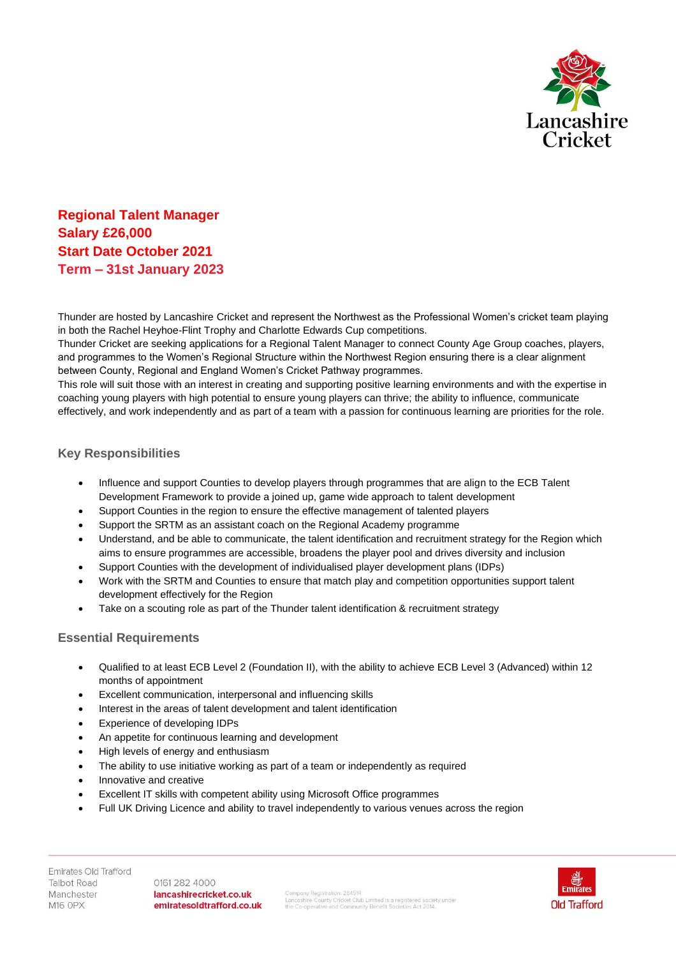

**Regional Talent Manager Salary £26,000 Start Date October 2021 Term – 31st January 2023**

Thunder are hosted by Lancashire Cricket and represent the Northwest as the Professional Women's cricket team playing in both the Rachel Heyhoe-Flint Trophy and Charlotte Edwards Cup competitions.

Thunder Cricket are seeking applications for a Regional Talent Manager to connect County Age Group coaches, players, and programmes to the Women's Regional Structure within the Northwest Region ensuring there is a clear alignment between County, Regional and England Women's Cricket Pathway programmes.

This role will suit those with an interest in creating and supporting positive learning environments and with the expertise in coaching young players with high potential to ensure young players can thrive; the ability to influence, communicate effectively, and work independently and as part of a team with a passion for continuous learning are priorities for the role.

## **Key Responsibilities**

- Influence and support Counties to develop players through programmes that are align to the ECB Talent Development Framework to provide a joined up, game wide approach to talent development
- Support Counties in the region to ensure the effective management of talented players
- Support the SRTM as an assistant coach on the Regional Academy programme
- Understand, and be able to communicate, the talent identification and recruitment strategy for the Region which aims to ensure programmes are accessible, broadens the player pool and drives diversity and inclusion
- Support Counties with the development of individualised player development plans (IDPs)
- Work with the SRTM and Counties to ensure that match play and competition opportunities support talent development effectively for the Region
- Take on a scouting role as part of the Thunder talent identification & recruitment strategy

## **Essential Requirements**

- Qualified to at least ECB Level 2 (Foundation II), with the ability to achieve ECB Level 3 (Advanced) within 12 months of appointment
- Excellent communication, interpersonal and influencing skills
- Interest in the areas of talent development and talent identification
- Experience of developing IDPs
- An appetite for continuous learning and development
- High levels of energy and enthusiasm
- The ability to use initiative working as part of a team or independently as required
- Innovative and creative
- Excellent IT skills with competent ability using Microsoft Office programmes
- Full UK Driving Licence and ability to travel independently to various venues across the region

Emirates Old Trafford **Talbot Road** Manchester M16 OPX

0161 282 4000 lancashirecricket.co.uk emiratesoldtrafford.co.uk

.<br>Company Registration: 28451R<br>the Co-operative and Community Benefit Societies Act 2014.